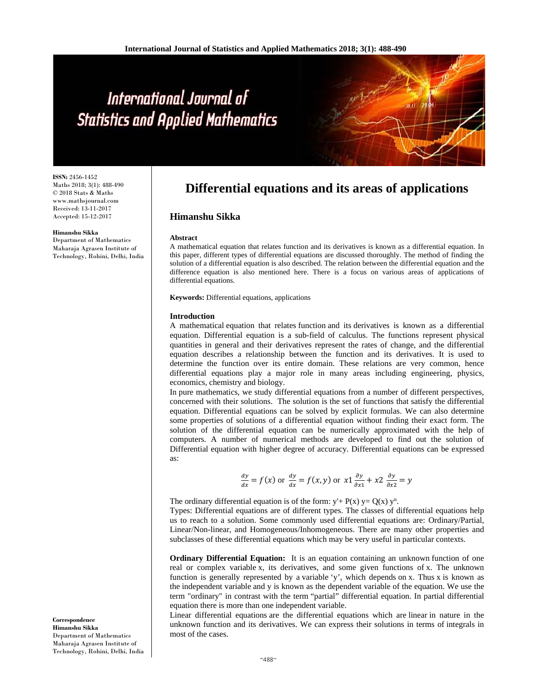# International Journal of **Statistics and Applied Mathematics**

**ISSN:** 2456-1452 Maths 2018; 3(1): 488-490 © 2018 Stats & Maths www.mathsjournal.com Received: 13-11-2017 Accepted: 15-12-2017

#### **Himanshu Sikka**

Department of Mathematics Maharaja Agrasen Institute of Technology, Rohini, Delhi, India

# **Differential equations and its areas of applications**

# **Himanshu Sikka**

#### **Abstract**

A mathematical equation that relates function and its derivatives is known as a differential equation. In this paper, different types of differential equations are discussed thoroughly. The method of finding the solution of a differential equation is also described. The relation between the differential equation and the difference equation is also mentioned here. There is a focus on various areas of applications of differential equations.

**Keywords:** Differential equations, applications

#### **Introduction**

A mathematical equation that relates function and its derivatives is known as a differential equation. Differential equation is a sub-field of calculus. The functions represent physical quantities in general and their derivatives represent the rates of change, and the differential equation describes a relationship between the function and its derivatives. It is used to determine the function over its entire domain. These relations are very common, hence differential equations play a major role in many areas including engineering, physics, economics, chemistry and biology.

In pure mathematics, we study differential equations from a number of different perspectives, concerned with their solutions. The solution is the set of functions that satisfy the differential equation. Differential equations can be solved by explicit formulas. We can also determine some properties of solutions of a differential equation without finding their exact form. The solution of the differential equation can be numerically approximated with the help of computers. A number of numerical methods are developed to find out the solution of Differential equation with higher degree of accuracy. Differential equations can be expressed as:

$$
\frac{dy}{dx} = f(x) \text{ or } \frac{dy}{dx} = f(x, y) \text{ or } x1 \frac{\partial y}{\partial x1} + x2 \frac{\partial y}{\partial x2} = y
$$

The ordinary differential equation is of the form:  $y' + P(x) y = Q(x) y^n$ .

Types: Differential equations are of different types. The classes of differential equations help us to reach to a solution. Some commonly used differential equations are: Ordinary/Partial, Linear/Non-linear, and Homogeneous/Inhomogeneous. There are many other properties and subclasses of these differential equations which may be very useful in particular contexts.

**Ordinary Differential Equation:** It is an equation containing an unknown function of one real or complex variable x, its derivatives, and some given functions of x. The unknown function is generally represented by a variable 'y', which depends on x. Thus x is known as the independent variable and y is known as the dependent variable of the equation. We use the term "ordinary" in contrast with the term "partial" differential equation. In partial differential equation there is more than one independent variable.

Linear differential equations are the differential equations which are linear in nature in the unknown function and its derivatives. We can express their solutions in terms of integrals in most of the cases.

**Correspondence Himanshu Sikka**  Department of Mathematics Maharaja Agrasen Institute of Technology, Rohini, Delhi, India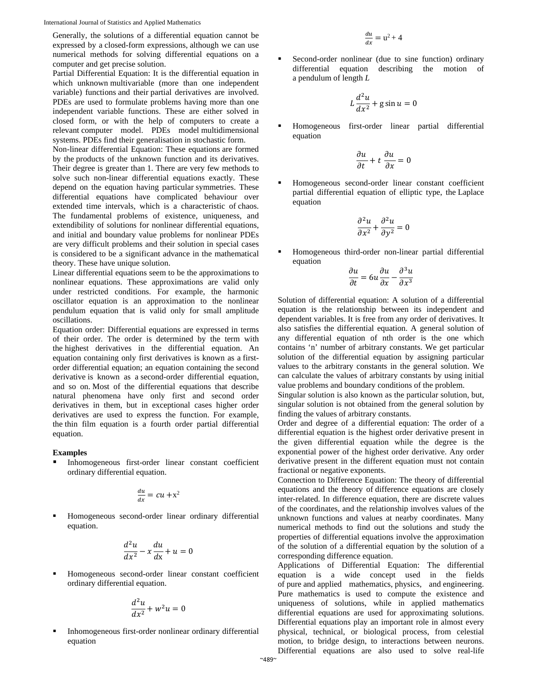Generally, the solutions of a differential equation cannot be expressed by a closed-form expressions, although we can use numerical methods for solving differential equations on a computer and get precise solution.

Partial Differential Equation: It is the differential equation in which unknown multivariable (more than one independent variable) functions and their partial derivatives are involved. PDEs are used to formulate problems having more than one independent variable functions. These are either solved in closed form, or with the help of computers to create a relevant computer model. PDEs model multidimensional systems. PDEs find their generalisation in stochastic form.

Non-linear differential Equation: These equations are formed by the products of the unknown function and its derivatives. Their degree is greater than 1. There are very few methods to solve such non-linear differential equations exactly. These depend on the equation having particular symmetries. These differential equations have complicated behaviour over extended time intervals, which is a characteristic of chaos. The fundamental problems of existence, uniqueness, and extendibility of solutions for nonlinear differential equations, and initial and boundary value problems for nonlinear PDEs are very difficult problems and their solution in special cases is considered to be a significant advance in the mathematical theory. These have unique solution.

Linear differential equations seem to be the approximations to nonlinear equations. These approximations are valid only under restricted conditions. For example, the harmonic oscillator equation is an approximation to the nonlinear pendulum equation that is valid only for small amplitude oscillations.

Equation order: Differential equations are expressed in terms of their order. The order is determined by the term with the highest derivatives in the differential equation. An equation containing only first derivatives is known as a firstorder differential equation; an equation containing the second derivative is known as a second-order differential equation, and so on. Most of the differential equations that describe natural phenomena have only first and second order derivatives in them, but in exceptional cases higher order derivatives are used to express the function. For example, the thin film equation is a fourth order partial differential equation.

#### **Examples**

 Inhomogeneous first-order linear constant coefficient ordinary differential equation.

$$
\frac{du}{dx} = cu + x^2
$$

 Homogeneous second-order linear ordinary differential equation.

$$
\frac{d^2u}{dx^2} - x\frac{du}{dx} + u = 0
$$

 Homogeneous second-order linear constant coefficient ordinary differential equation.

$$
\frac{d^2u}{dx^2} + w^2u = 0
$$

 Inhomogeneous first-order nonlinear ordinary differential equation

$$
\frac{du}{dx} = u^2 + 4
$$

 Second-order nonlinear (due to sine function) ordinary differential equation describing the motion of a pendulum of length *L*

$$
L\frac{d^2u}{dx^2} + g\sin u = 0
$$

 Homogeneous first-order linear partial differential equation

$$
\frac{\partial u}{\partial t} + t \frac{\partial u}{\partial x} = 0
$$

 Homogeneous second-order linear constant coefficient partial differential equation of elliptic type, the Laplace equation

$$
\frac{\partial^2 u}{\partial x^2} + \frac{\partial^2 u}{\partial y^2} = 0
$$

 Homogeneous third-order non-linear partial differential equation

$$
\frac{\partial u}{\partial t} = 6u \frac{\partial u}{\partial x} - \frac{\partial^3 u}{\partial x^3}
$$

Solution of differential equation: A solution of a differential equation is the relationship between its independent and dependent variables. It is free from any order of derivatives. It also satisfies the differential equation. A general solution of any differential equation of nth order is the one which contains 'n' number of arbitrary constants. We get particular solution of the differential equation by assigning particular values to the arbitrary constants in the general solution. We can calculate the values of arbitrary constants by using initial value problems and boundary conditions of the problem.

Singular solution is also known as the particular solution, but, singular solution is not obtained from the general solution by finding the values of arbitrary constants.

Order and degree of a differential equation: The order of a differential equation is the highest order derivative present in the given differential equation while the degree is the exponential power of the highest order derivative. Any order derivative present in the different equation must not contain fractional or negative exponents.

Connection to Difference Equation: The theory of differential equations and the theory of difference equations are closely inter-related. In difference equation, there are discrete values of the coordinates, and the relationship involves values of the unknown functions and values at nearby coordinates. Many numerical methods to find out the solutions and study the properties of differential equations involve the approximation of the solution of a differential equation by the solution of a corresponding difference equation.

Applications of Differential Equation: The differential equation is a wide concept used in the fields of pure and applied mathematics, physics, and engineering. Pure mathematics is used to compute the existence and uniqueness of solutions, while in applied mathematics differential equations are used for approximating solutions. Differential equations play an important role in almost every physical, technical, or biological process, from celestial motion, to bridge design, to interactions between neurons. Differential equations are also used to solve real-life